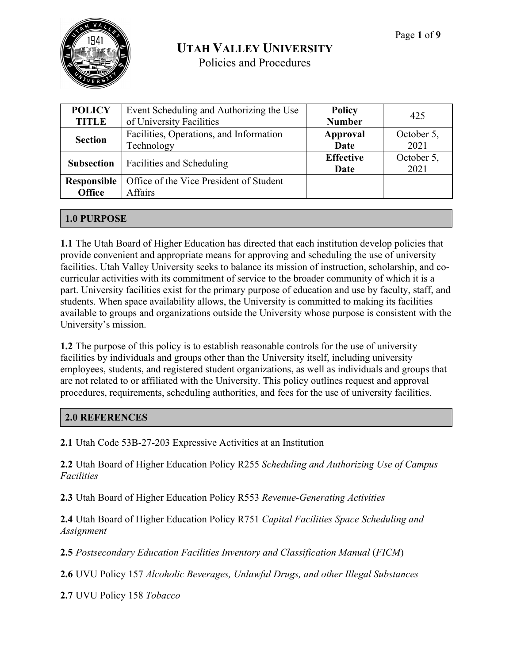

| <b>POLICY</b>                | Event Scheduling and Authorizing the Use           | <b>Policy</b>            | 425                |
|------------------------------|----------------------------------------------------|--------------------------|--------------------|
| <b>TITLE</b>                 | of University Facilities                           | <b>Number</b>            |                    |
| <b>Section</b>               | Facilities, Operations, and Information            | Approval                 | October 5,         |
|                              | Technology                                         | Date                     | 2021               |
| <b>Subsection</b>            | Facilities and Scheduling                          | <b>Effective</b><br>Date | October 5,<br>2021 |
| Responsible<br><b>Office</b> | Office of the Vice President of Student<br>Affairs |                          |                    |

#### **1.0 PURPOSE**

**1.1** The Utah Board of Higher Education has directed that each institution develop policies that provide convenient and appropriate means for approving and scheduling the use of university facilities. Utah Valley University seeks to balance its mission of instruction, scholarship, and cocurricular activities with its commitment of service to the broader community of which it is a part. University facilities exist for the primary purpose of education and use by faculty, staff, and students. When space availability allows, the University is committed to making its facilities available to groups and organizations outside the University whose purpose is consistent with the University's mission.

**1.2** The purpose of this policy is to establish reasonable controls for the use of university facilities by individuals and groups other than the University itself, including university employees, students, and registered student organizations, as well as individuals and groups that are not related to or affiliated with the University. This policy outlines request and approval procedures, requirements, scheduling authorities, and fees for the use of university facilities.

#### **2.0 REFERENCES**

**2.1** Utah Code 53B-27-203 Expressive Activities at an Institution

**2.2** Utah Board of Higher Education Policy R255 *Scheduling and Authorizing Use of Campus Facilities*

**2.3** Utah Board of Higher Education Policy R553 *Revenue-Generating Activities*

**2.4** Utah Board of Higher Education Policy R751 *Capital Facilities Space Scheduling and Assignment*

**2.5** *Postsecondary Education Facilities Inventory and Classification Manual* (*FICM*)

**2.6** UVU Policy 157 *Alcoholic Beverages, Unlawful Drugs, and other Illegal Substances*

**2.7** UVU Policy 158 *Tobacco*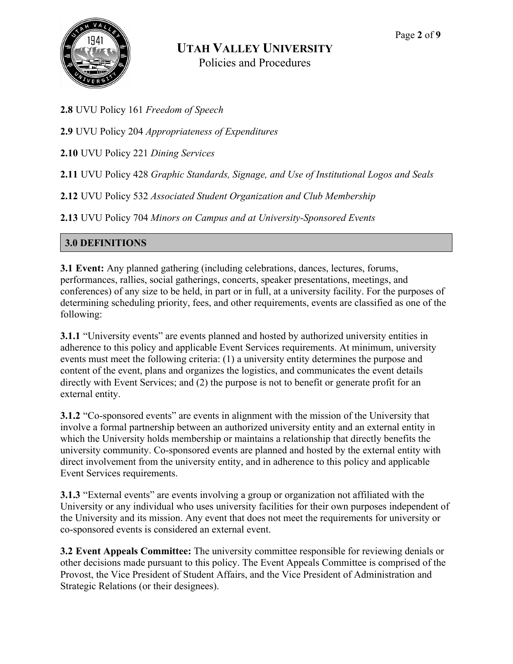

**2.8** UVU Policy 161 *Freedom of Speech* 

**2.9** UVU Policy 204 *Appropriateness of Expenditures*

**2.10** UVU Policy 221 *Dining Services*

**2.11** UVU Policy 428 *Graphic Standards, Signage, and Use of Institutional Logos and Seals*

**2.12** UVU Policy 532 *Associated Student Organization and Club Membership*

**2.13** UVU Policy 704 *Minors on Campus and at University-Sponsored Events*

#### **3.0 DEFINITIONS**

**3.1 Event:** Any planned gathering (including celebrations, dances, lectures, forums, performances, rallies, social gatherings, concerts, speaker presentations, meetings, and conferences) of any size to be held, in part or in full, at a university facility. For the purposes of determining scheduling priority, fees, and other requirements, events are classified as one of the following:

**3.1.1** "University events" are events planned and hosted by authorized university entities in adherence to this policy and applicable Event Services requirements. At minimum, university events must meet the following criteria: (1) a university entity determines the purpose and content of the event, plans and organizes the logistics, and communicates the event details directly with Event Services; and (2) the purpose is not to benefit or generate profit for an external entity.

**3.1.2** "Co-sponsored events" are events in alignment with the mission of the University that involve a formal partnership between an authorized university entity and an external entity in which the University holds membership or maintains a relationship that directly benefits the university community. Co-sponsored events are planned and hosted by the external entity with direct involvement from the university entity, and in adherence to this policy and applicable Event Services requirements.

**3.1.3** "External events" are events involving a group or organization not affiliated with the University or any individual who uses university facilities for their own purposes independent of the University and its mission. Any event that does not meet the requirements for university or co-sponsored events is considered an external event.

**3.2 Event Appeals Committee:** The university committee responsible for reviewing denials or other decisions made pursuant to this policy. The Event Appeals Committee is comprised of the Provost, the Vice President of Student Affairs, and the Vice President of Administration and Strategic Relations (or their designees).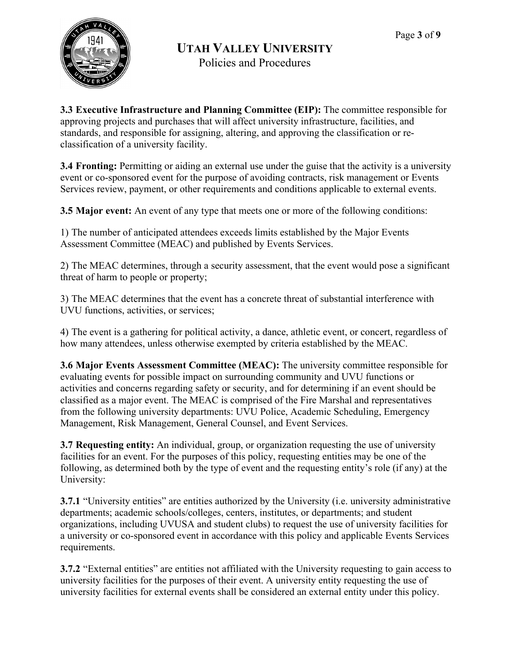

Policies and Procedures

**3.3 Executive Infrastructure and Planning Committee (EIP):** The committee responsible for approving projects and purchases that will affect university infrastructure, facilities, and standards, and responsible for assigning, altering, and approving the classification or reclassification of a university facility.

**3.4 Fronting:** Permitting or aiding an external use under the guise that the activity is a university event or co-sponsored event for the purpose of avoiding contracts, risk management or Events Services review, payment, or other requirements and conditions applicable to external events.

**3.5 Major event:** An event of any type that meets one or more of the following conditions:

1) The number of anticipated attendees exceeds limits established by the Major Events Assessment Committee (MEAC) and published by Events Services.

2) The MEAC determines, through a security assessment, that the event would pose a significant threat of harm to people or property;

3) The MEAC determines that the event has a concrete threat of substantial interference with UVU functions, activities, or services;

4) The event is a gathering for political activity, a dance, athletic event, or concert, regardless of how many attendees, unless otherwise exempted by criteria established by the MEAC.

**3.6 Major Events Assessment Committee (MEAC):** The university committee responsible for evaluating events for possible impact on surrounding community and UVU functions or activities and concerns regarding safety or security, and for determining if an event should be classified as a major event. The MEAC is comprised of the Fire Marshal and representatives from the following university departments: UVU Police, Academic Scheduling, Emergency Management, Risk Management, General Counsel, and Event Services.

**3.7 Requesting entity:** An individual, group, or organization requesting the use of university facilities for an event. For the purposes of this policy, requesting entities may be one of the following, as determined both by the type of event and the requesting entity's role (if any) at the University:

**3.7.1** "University entities" are entities authorized by the University (i.e. university administrative departments; academic schools/colleges, centers, institutes, or departments; and student organizations, including UVUSA and student clubs) to request the use of university facilities for a university or co-sponsored event in accordance with this policy and applicable Events Services requirements.

**3.7.2** "External entities" are entities not affiliated with the University requesting to gain access to university facilities for the purposes of their event. A university entity requesting the use of university facilities for external events shall be considered an external entity under this policy.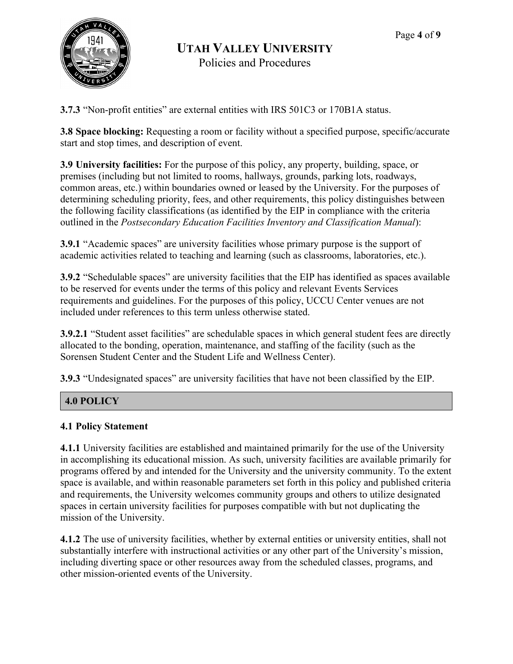

**3.7.3** "Non-profit entities" are external entities with IRS 501C3 or 170B1A status.

**3.8 Space blocking:** Requesting a room or facility without a specified purpose, specific/accurate start and stop times, and description of event.

**3.9 University facilities:** For the purpose of this policy, any property, building, space, or premises (including but not limited to rooms, hallways, grounds, parking lots, roadways, common areas, etc.) within boundaries owned or leased by the University. For the purposes of determining scheduling priority, fees, and other requirements, this policy distinguishes between the following facility classifications (as identified by the EIP in compliance with the criteria outlined in the *Postsecondary Education Facilities Inventory and Classification Manual*):

**3.9.1** "Academic spaces" are university facilities whose primary purpose is the support of academic activities related to teaching and learning (such as classrooms, laboratories, etc.).

**3.9.2** "Schedulable spaces" are university facilities that the EIP has identified as spaces available to be reserved for events under the terms of this policy and relevant Events Services requirements and guidelines. For the purposes of this policy, UCCU Center venues are not included under references to this term unless otherwise stated.

**3.9.2.1** "Student asset facilities" are schedulable spaces in which general student fees are directly allocated to the bonding, operation, maintenance, and staffing of the facility (such as the Sorensen Student Center and the Student Life and Wellness Center).

**3.9.3** "Undesignated spaces" are university facilities that have not been classified by the EIP.

#### **4.0 POLICY**

#### **4.1 Policy Statement**

**4.1.1** University facilities are established and maintained primarily for the use of the University in accomplishing its educational mission. As such, university facilities are available primarily for programs offered by and intended for the University and the university community. To the extent space is available, and within reasonable parameters set forth in this policy and published criteria and requirements, the University welcomes community groups and others to utilize designated spaces in certain university facilities for purposes compatible with but not duplicating the mission of the University.

**4.1.2** The use of university facilities, whether by external entities or university entities, shall not substantially interfere with instructional activities or any other part of the University's mission, including diverting space or other resources away from the scheduled classes, programs, and other mission-oriented events of the University.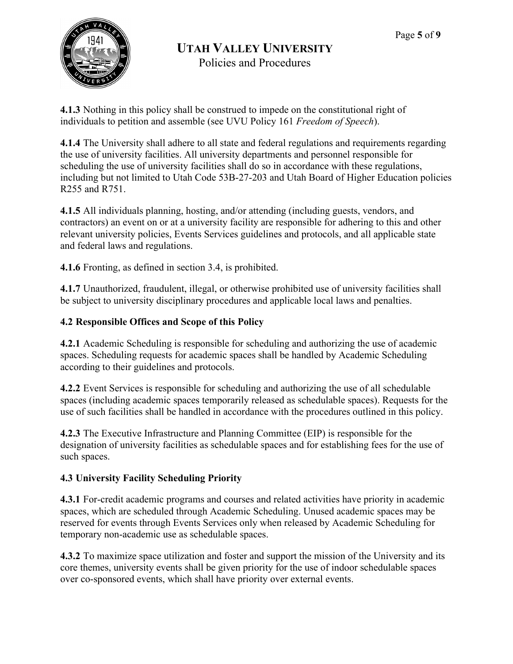

Policies and Procedures

**4.1.3** Nothing in this policy shall be construed to impede on the constitutional right of individuals to petition and assemble (see UVU Policy 161 *Freedom of Speech*).

**4.1.4** The University shall adhere to all state and federal regulations and requirements regarding the use of university facilities. All university departments and personnel responsible for scheduling the use of university facilities shall do so in accordance with these regulations, including but not limited to Utah Code 53B-27-203 and Utah Board of Higher Education policies R255 and R751.

**4.1.5** All individuals planning, hosting, and/or attending (including guests, vendors, and contractors) an event on or at a university facility are responsible for adhering to this and other relevant university policies, Events Services guidelines and protocols, and all applicable state and federal laws and regulations.

**4.1.6** Fronting, as defined in section 3.4, is prohibited.

**4.1.7** Unauthorized, fraudulent, illegal, or otherwise prohibited use of university facilities shall be subject to university disciplinary procedures and applicable local laws and penalties.

# **4.2 Responsible Offices and Scope of this Policy**

**4.2.1** Academic Scheduling is responsible for scheduling and authorizing the use of academic spaces. Scheduling requests for academic spaces shall be handled by Academic Scheduling according to their guidelines and protocols.

**4.2.2** Event Services is responsible for scheduling and authorizing the use of all schedulable spaces (including academic spaces temporarily released as schedulable spaces). Requests for the use of such facilities shall be handled in accordance with the procedures outlined in this policy.

**4.2.3** The Executive Infrastructure and Planning Committee (EIP) is responsible for the designation of university facilities as schedulable spaces and for establishing fees for the use of such spaces.

# **4.3 University Facility Scheduling Priority**

**4.3.1** For-credit academic programs and courses and related activities have priority in academic spaces, which are scheduled through Academic Scheduling. Unused academic spaces may be reserved for events through Events Services only when released by Academic Scheduling for temporary non-academic use as schedulable spaces.

**4.3.2** To maximize space utilization and foster and support the mission of the University and its core themes, university events shall be given priority for the use of indoor schedulable spaces over co-sponsored events, which shall have priority over external events.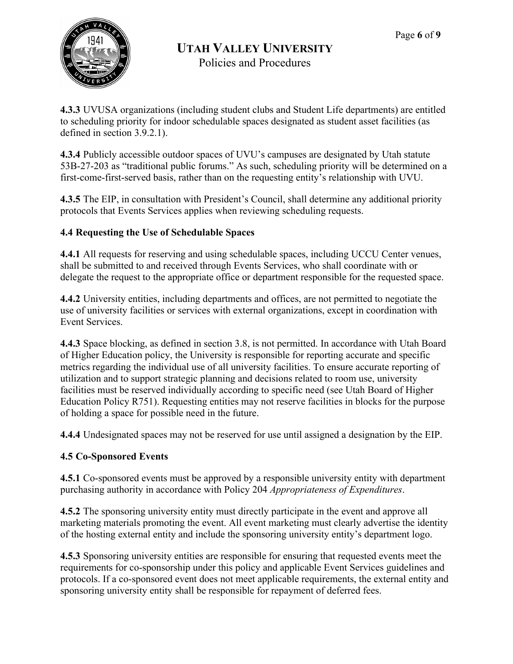

Policies and Procedures

**4.3.3** UVUSA organizations (including student clubs and Student Life departments) are entitled to scheduling priority for indoor schedulable spaces designated as student asset facilities (as defined in section 3.9.2.1).

**4.3.4** Publicly accessible outdoor spaces of UVU's campuses are designated by Utah statute 53B-27-203 as "traditional public forums." As such, scheduling priority will be determined on a first-come-first-served basis, rather than on the requesting entity's relationship with UVU.

**4.3.5** The EIP, in consultation with President's Council, shall determine any additional priority protocols that Events Services applies when reviewing scheduling requests.

# **4.4 Requesting the Use of Schedulable Spaces**

**4.4.1** All requests for reserving and using schedulable spaces, including UCCU Center venues, shall be submitted to and received through Events Services, who shall coordinate with or delegate the request to the appropriate office or department responsible for the requested space.

**4.4.2** University entities, including departments and offices, are not permitted to negotiate the use of university facilities or services with external organizations, except in coordination with Event Services.

**4.4.3** Space blocking, as defined in section 3.8, is not permitted. In accordance with Utah Board of Higher Education policy, the University is responsible for reporting accurate and specific metrics regarding the individual use of all university facilities. To ensure accurate reporting of utilization and to support strategic planning and decisions related to room use, university facilities must be reserved individually according to specific need (see Utah Board of Higher Education Policy R751). Requesting entities may not reserve facilities in blocks for the purpose of holding a space for possible need in the future.

**4.4.4** Undesignated spaces may not be reserved for use until assigned a designation by the EIP.

# **4.5 Co-Sponsored Events**

**4.5.1** Co-sponsored events must be approved by a responsible university entity with department purchasing authority in accordance with Policy 204 *Appropriateness of Expenditures*.

**4.5.2** The sponsoring university entity must directly participate in the event and approve all marketing materials promoting the event. All event marketing must clearly advertise the identity of the hosting external entity and include the sponsoring university entity's department logo.

**4.5.3** Sponsoring university entities are responsible for ensuring that requested events meet the requirements for co-sponsorship under this policy and applicable Event Services guidelines and protocols. If a co-sponsored event does not meet applicable requirements, the external entity and sponsoring university entity shall be responsible for repayment of deferred fees.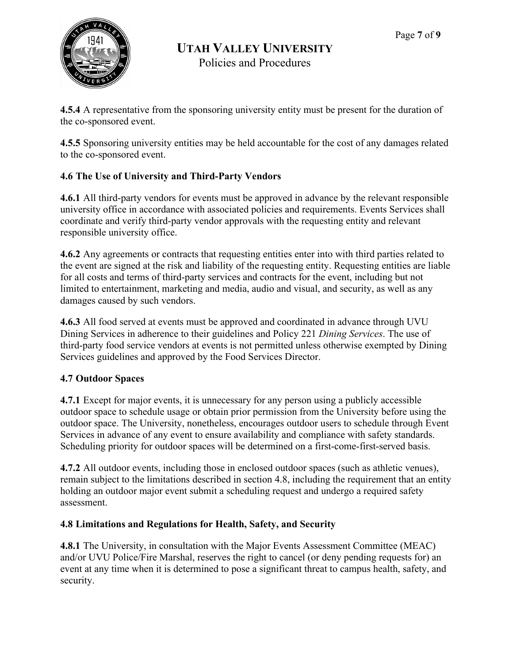

**4.5.4** A representative from the sponsoring university entity must be present for the duration of the co-sponsored event.

**4.5.5** Sponsoring university entities may be held accountable for the cost of any damages related to the co-sponsored event.

# **4.6 The Use of University and Third-Party Vendors**

**4.6.1** All third-party vendors for events must be approved in advance by the relevant responsible university office in accordance with associated policies and requirements. Events Services shall coordinate and verify third-party vendor approvals with the requesting entity and relevant responsible university office.

**4.6.2** Any agreements or contracts that requesting entities enter into with third parties related to the event are signed at the risk and liability of the requesting entity. Requesting entities are liable for all costs and terms of third-party services and contracts for the event, including but not limited to entertainment, marketing and media, audio and visual, and security, as well as any damages caused by such vendors.

**4.6.3** All food served at events must be approved and coordinated in advance through UVU Dining Services in adherence to their guidelines and Policy 221 *Dining Services*. The use of third-party food service vendors at events is not permitted unless otherwise exempted by Dining Services guidelines and approved by the Food Services Director.

#### **4.7 Outdoor Spaces**

**4.7.1** Except for major events, it is unnecessary for any person using a publicly accessible outdoor space to schedule usage or obtain prior permission from the University before using the outdoor space. The University, nonetheless, encourages outdoor users to schedule through Event Services in advance of any event to ensure availability and compliance with safety standards. Scheduling priority for outdoor spaces will be determined on a first-come-first-served basis.

**4.7.2** All outdoor events, including those in enclosed outdoor spaces (such as athletic venues), remain subject to the limitations described in section 4.8, including the requirement that an entity holding an outdoor major event submit a scheduling request and undergo a required safety assessment.

#### **4.8 Limitations and Regulations for Health, Safety, and Security**

**4.8.1** The University, in consultation with the Major Events Assessment Committee (MEAC) and/or UVU Police/Fire Marshal, reserves the right to cancel (or deny pending requests for) an event at any time when it is determined to pose a significant threat to campus health, safety, and security.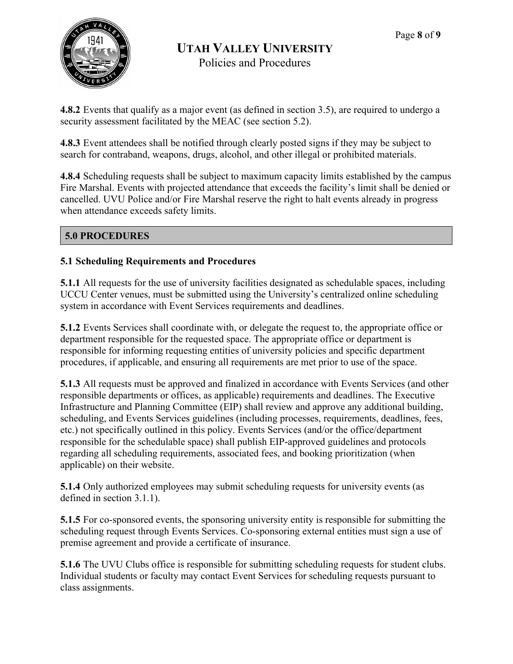

Policies and Procedures

**4.8.2** Events that qualify as a major event (as defined in section 3.5), are required to undergo a security assessment facilitated by the MEAC (see section 5.2).

**4.8.3** Event attendees shall be notified through clearly posted signs if they may be subject to search for contraband, weapons, drugs, alcohol, and other illegal or prohibited materials.

**4.8.4** Scheduling requests shall be subject to maximum capacity limits established by the campus Fire Marshal. Events with projected attendance that exceeds the facility's limit shall be denied or cancelled. UVU Police and/or Fire Marshal reserve the right to halt events already in progress when attendance exceeds safety limits.

# **5.0 PROCEDURES**

#### **5.1 Scheduling Requirements and Procedures**

**5.1.1** All requests for the use of university facilities designated as schedulable spaces, including UCCU Center venues, must be submitted using the University's centralized online scheduling system in accordance with Event Services requirements and deadlines.

**5.1.2** Events Services shall coordinate with, or delegate the request to, the appropriate office or department responsible for the requested space. The appropriate office or department is responsible for informing requesting entities of university policies and specific department procedures, if applicable, and ensuring all requirements are met prior to use of the space.

**5.1.3** All requests must be approved and finalized in accordance with Events Services (and other responsible departments or offices, as applicable) requirements and deadlines. The Executive Infrastructure and Planning Committee (EIP) shall review and approve any additional building, scheduling, and Events Services guidelines (including processes, requirements, deadlines, fees, etc.) not specifically outlined in this policy. Events Services (and/or the office/department responsible for the schedulable space) shall publish EIP-approved guidelines and protocols regarding all scheduling requirements, associated fees, and booking prioritization (when applicable) on their website.

**5.1.4** Only authorized employees may submit scheduling requests for university events (as defined in section 3.1.1).

**5.1.5** For co-sponsored events, the sponsoring university entity is responsible for submitting the scheduling request through Events Services. Co-sponsoring external entities must sign a use of premise agreement and provide a certificate of insurance.

**5.1.6** The UVU Clubs office is responsible for submitting scheduling requests for student clubs. Individual students or faculty may contact Event Services for scheduling requests pursuant to class assignments.